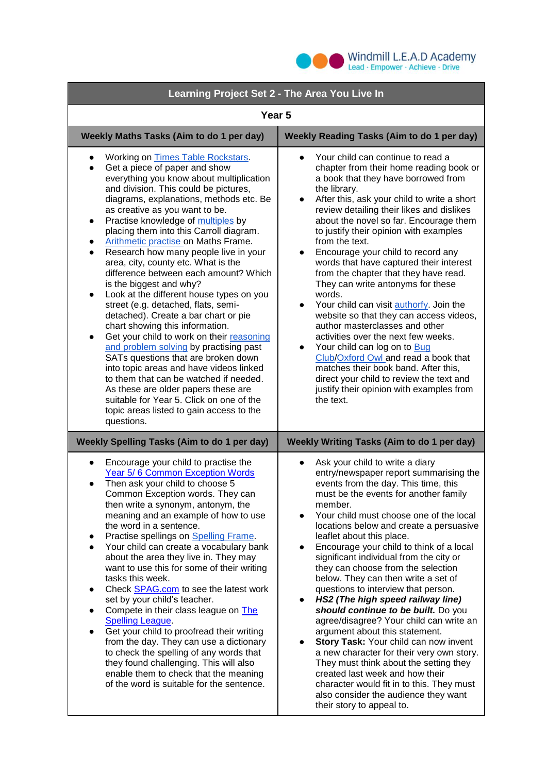

ń

| Learning Project Set 2 - The Area You Live In                                                                                                                                                                                                                                                                                                                                                                                                                                                                                                                                                                                                                                                                                                                                                                                                                                                                                                                                                                                                                                                                                              |                                                                                                                                                                                                                                                                                                                                                                                                                                                                                                                                                                                                                                                                                                                                                                                                                                                                                                                                                                     |
|--------------------------------------------------------------------------------------------------------------------------------------------------------------------------------------------------------------------------------------------------------------------------------------------------------------------------------------------------------------------------------------------------------------------------------------------------------------------------------------------------------------------------------------------------------------------------------------------------------------------------------------------------------------------------------------------------------------------------------------------------------------------------------------------------------------------------------------------------------------------------------------------------------------------------------------------------------------------------------------------------------------------------------------------------------------------------------------------------------------------------------------------|---------------------------------------------------------------------------------------------------------------------------------------------------------------------------------------------------------------------------------------------------------------------------------------------------------------------------------------------------------------------------------------------------------------------------------------------------------------------------------------------------------------------------------------------------------------------------------------------------------------------------------------------------------------------------------------------------------------------------------------------------------------------------------------------------------------------------------------------------------------------------------------------------------------------------------------------------------------------|
| Year <sub>5</sub>                                                                                                                                                                                                                                                                                                                                                                                                                                                                                                                                                                                                                                                                                                                                                                                                                                                                                                                                                                                                                                                                                                                          |                                                                                                                                                                                                                                                                                                                                                                                                                                                                                                                                                                                                                                                                                                                                                                                                                                                                                                                                                                     |
| Weekly Maths Tasks (Aim to do 1 per day)                                                                                                                                                                                                                                                                                                                                                                                                                                                                                                                                                                                                                                                                                                                                                                                                                                                                                                                                                                                                                                                                                                   | Weekly Reading Tasks (Aim to do 1 per day)                                                                                                                                                                                                                                                                                                                                                                                                                                                                                                                                                                                                                                                                                                                                                                                                                                                                                                                          |
| <b>Working on Times Table Rockstars.</b><br>$\bullet$<br>Get a piece of paper and show<br>$\bullet$<br>everything you know about multiplication<br>and division. This could be pictures,<br>diagrams, explanations, methods etc. Be<br>as creative as you want to be.<br>Practise knowledge of multiples by<br>$\bullet$<br>placing them into this Carroll diagram.<br><b>Arithmetic practise on Maths Frame.</b><br>Research how many people live in your<br>$\bullet$<br>area, city, county etc. What is the<br>difference between each amount? Which<br>is the biggest and why?<br>Look at the different house types on you<br>$\bullet$<br>street (e.g. detached, flats, semi-<br>detached). Create a bar chart or pie<br>chart showing this information.<br>Get your child to work on their reasoning<br>$\bullet$<br>and problem solving by practising past<br>SATs questions that are broken down<br>into topic areas and have videos linked<br>to them that can be watched if needed.<br>As these are older papers these are<br>suitable for Year 5. Click on one of the<br>topic areas listed to gain access to the<br>questions. | Your child can continue to read a<br>$\bullet$<br>chapter from their home reading book or<br>a book that they have borrowed from<br>the library.<br>After this, ask your child to write a short<br>$\bullet$<br>review detailing their likes and dislikes<br>about the novel so far. Encourage them<br>to justify their opinion with examples<br>from the text.<br>Encourage your child to record any<br>$\bullet$<br>words that have captured their interest<br>from the chapter that they have read.<br>They can write antonyms for these<br>words.<br>Your child can visit authorfy. Join the<br>$\bullet$<br>website so that they can access videos,<br>author masterclasses and other<br>activities over the next few weeks.<br>Your child can log on to Bug<br>$\bullet$<br>Club/Oxford Owl and read a book that<br>matches their book band. After this,<br>direct your child to review the text and<br>justify their opinion with examples from<br>the text. |
| <b>Weekly Spelling Tasks (Aim to do 1 per day)</b>                                                                                                                                                                                                                                                                                                                                                                                                                                                                                                                                                                                                                                                                                                                                                                                                                                                                                                                                                                                                                                                                                         | <b>Weekly Writing Tasks (Aim to do 1 per day)</b>                                                                                                                                                                                                                                                                                                                                                                                                                                                                                                                                                                                                                                                                                                                                                                                                                                                                                                                   |
| Encourage your child to practise the<br>$\bullet$<br>Year 5/6 Common Exception Words<br>Then ask your child to choose 5<br>$\bullet$<br>Common Exception words. They can<br>then write a synonym, antonym, the<br>meaning and an example of how to use<br>the word in a sentence.<br>Practise spellings on Spelling Frame.<br>Your child can create a vocabulary bank<br>about the area they live in. They may<br>want to use this for some of their writing<br>tasks this week.<br>Check <b>SPAG.com</b> to see the latest work<br>set by your child's teacher.<br>Compete in their class league on The<br><b>Spelling League.</b><br>Get your child to proofread their writing<br>$\bullet$<br>from the day. They can use a dictionary<br>to check the spelling of any words that<br>they found challenging. This will also<br>enable them to check that the meaning<br>of the word is suitable for the sentence.                                                                                                                                                                                                                        | Ask your child to write a diary<br>$\bullet$<br>entry/newspaper report summarising the<br>events from the day. This time, this<br>must be the events for another family<br>member.<br>Your child must choose one of the local<br>locations below and create a persuasive<br>leaflet about this place.<br>Encourage your child to think of a local<br>significant individual from the city or<br>they can choose from the selection<br>below. They can then write a set of<br>questions to interview that person.<br>HS2 (The high speed railway line)<br>should continue to be built. Do you<br>agree/disagree? Your child can write an<br>argument about this statement.<br>Story Task: Your child can now invent<br>a new character for their very own story.<br>They must think about the setting they<br>created last week and how their<br>character would fit in to this. They must<br>also consider the audience they want<br>their story to appeal to.      |